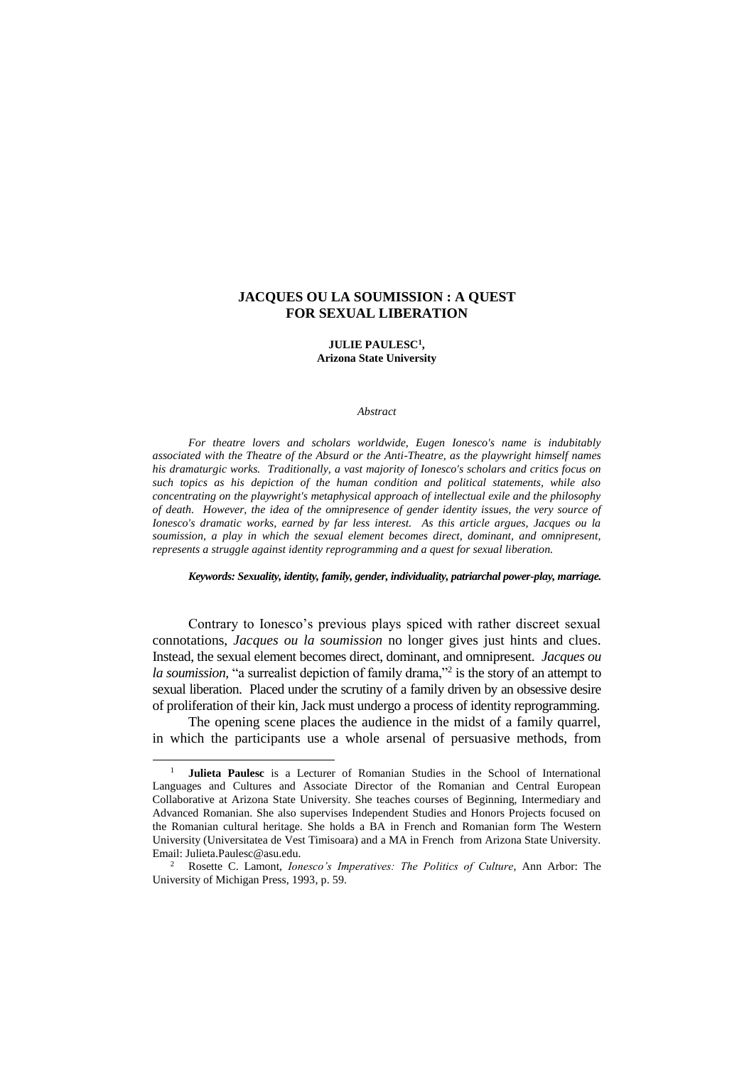# **JACQUES OU LA SOUMISSION : A QUEST FOR SEXUAL LIBERATION**

### **JULIE PAULESC<sup>1</sup> , Arizona State University**

#### *Abstract*

*For theatre lovers and scholars worldwide, Eugen Ionesco's name is indubitably associated with the Theatre of the Absurd or the Anti-Theatre, as the playwright himself names his dramaturgic works. Traditionally, a vast majority of Ionesco's scholars and critics focus on such topics as his depiction of the human condition and political statements, while also concentrating on the playwright's metaphysical approach of intellectual exile and the philosophy of death. However, the idea of the omnipresence of gender identity issues, the very source of Ionesco's dramatic works, earned by far less interest. As this article argues, Jacques ou la soumission, a play in which the sexual element becomes direct, dominant, and omnipresent, represents a struggle against identity reprogramming and a quest for sexual liberation.*

## *Keywords: Sexuality, identity, family, gender, individuality, patriarchal power-play, marriage.*

Contrary to Ionesco's previous plays spiced with rather discreet sexual connotations, *Jacques ou la soumission* no longer gives just hints and clues. Instead, the sexual element becomes direct, dominant, and omnipresent. *Jacques ou* la soumission, "a surrealist depiction of family drama,"<sup>2</sup> is the story of an attempt to sexual liberation. Placed under the scrutiny of a family driven by an obsessive desire of proliferation of their kin, Jack must undergo a process of identity reprogramming.

The opening scene places the audience in the midst of a family quarrel, in which the participants use a whole arsenal of persuasive methods, from

<sup>1</sup> **Julieta Paulesc** is a Lecturer of Romanian Studies in the School of International Languages and Cultures and Associate Director of the Romanian and Central European Collaborative at Arizona State University. She teaches courses of Beginning, Intermediary and Advanced Romanian. She also supervises Independent Studies and Honors Projects focused on the Romanian cultural heritage. She holds a BA in French and Romanian form The Western University (Universitatea de Vest Timisoara) and a MA in French from Arizona State University. Email: Julieta.Paulesc@asu.edu.

<sup>2</sup> Rosette C. Lamont, *Ionesco's Imperatives: The Politics of Culture*, Ann Arbor: The University of Michigan Press, 1993, p. 59.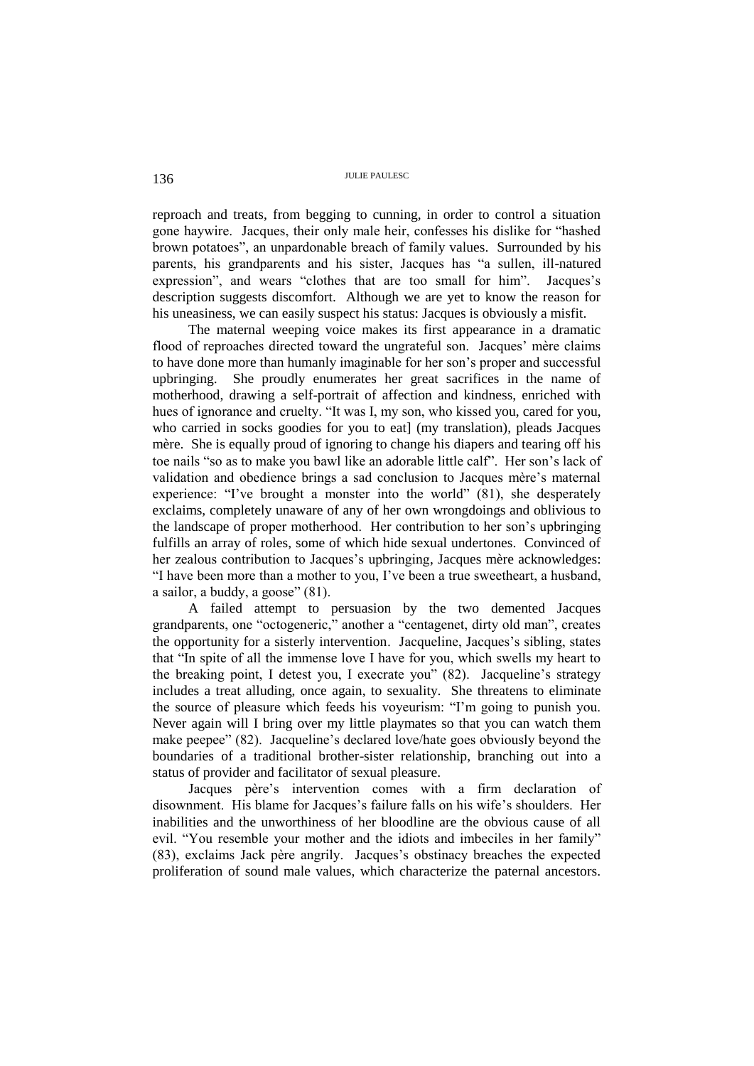reproach and treats, from begging to cunning, in order to control a situation gone haywire. Jacques, their only male heir, confesses his dislike for "hashed brown potatoes", an unpardonable breach of family values. Surrounded by his parents, his grandparents and his sister, Jacques has "a sullen, ill-natured expression", and wears "clothes that are too small for him". Jacques's description suggests discomfort. Although we are yet to know the reason for his uneasiness, we can easily suspect his status: Jacques is obviously a misfit.

The maternal weeping voice makes its first appearance in a dramatic flood of reproaches directed toward the ungrateful son. Jacques' mère claims to have done more than humanly imaginable for her son's proper and successful upbringing. She proudly enumerates her great sacrifices in the name of motherhood, drawing a self-portrait of affection and kindness, enriched with hues of ignorance and cruelty. "It was I, my son, who kissed you, cared for you, who carried in socks goodies for you to eat] (my translation), pleads Jacques mère. She is equally proud of ignoring to change his diapers and tearing off his toe nails "so as to make you bawl like an adorable little calf". Her son's lack of validation and obedience brings a sad conclusion to Jacques mère's maternal experience: "I've brought a monster into the world" (81), she desperately exclaims, completely unaware of any of her own wrongdoings and oblivious to the landscape of proper motherhood. Her contribution to her son's upbringing fulfills an array of roles, some of which hide sexual undertones. Convinced of her zealous contribution to Jacques's upbringing, Jacques mère acknowledges: "I have been more than a mother to you, I've been a true sweetheart, a husband, a sailor, a buddy, a goose" (81).

A failed attempt to persuasion by the two demented Jacques grandparents, one "octogeneric," another a "centagenet, dirty old man", creates the opportunity for a sisterly intervention. Jacqueline, Jacques's sibling, states that "In spite of all the immense love I have for you, which swells my heart to the breaking point, I detest you, I execrate you" (82). Jacqueline's strategy includes a treat alluding, once again, to sexuality. She threatens to eliminate the source of pleasure which feeds his voyeurism: "I'm going to punish you. Never again will I bring over my little playmates so that you can watch them make peepee" (82). Jacqueline's declared love/hate goes obviously beyond the boundaries of a traditional brother-sister relationship, branching out into a status of provider and facilitator of sexual pleasure.

Jacques père's intervention comes with a firm declaration of disownment. His blame for Jacques's failure falls on his wife's shoulders. Her inabilities and the unworthiness of her bloodline are the obvious cause of all evil. "You resemble your mother and the idiots and imbeciles in her family" (83), exclaims Jack père angrily. Jacques's obstinacy breaches the expected proliferation of sound male values, which characterize the paternal ancestors.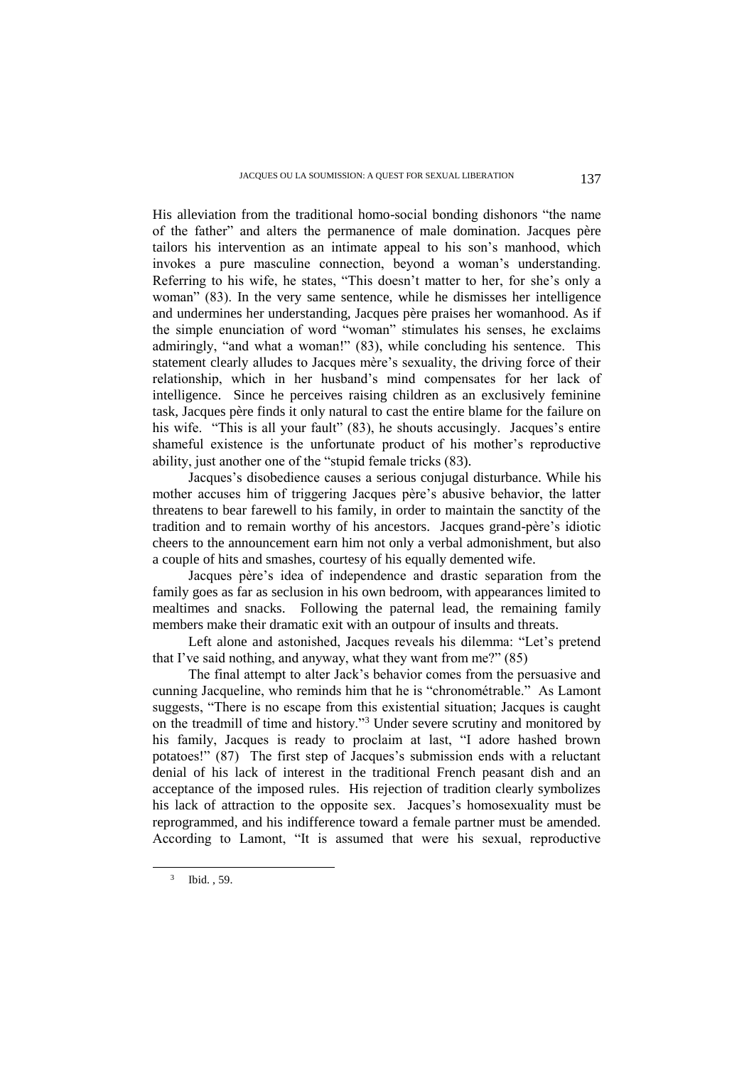His alleviation from the traditional homo-social bonding dishonors "the name of the father" and alters the permanence of male domination. Jacques père tailors his intervention as an intimate appeal to his son's manhood, which invokes a pure masculine connection, beyond a woman's understanding. Referring to his wife, he states, "This doesn't matter to her, for she's only a woman" (83). In the very same sentence, while he dismisses her intelligence and undermines her understanding, Jacques père praises her womanhood. As if the simple enunciation of word "woman" stimulates his senses, he exclaims admiringly, "and what a woman!" (83), while concluding his sentence. This statement clearly alludes to Jacques mère's sexuality, the driving force of their relationship, which in her husband's mind compensates for her lack of intelligence. Since he perceives raising children as an exclusively feminine task, Jacques père finds it only natural to cast the entire blame for the failure on his wife. "This is all your fault" (83), he shouts accusingly. Jacques's entire shameful existence is the unfortunate product of his mother's reproductive ability, just another one of the "stupid female tricks (83).

Jacques's disobedience causes a serious conjugal disturbance. While his mother accuses him of triggering Jacques père's abusive behavior, the latter threatens to bear farewell to his family, in order to maintain the sanctity of the tradition and to remain worthy of his ancestors. Jacques grand-père's idiotic cheers to the announcement earn him not only a verbal admonishment, but also a couple of hits and smashes, courtesy of his equally demented wife.

Jacques père's idea of independence and drastic separation from the family goes as far as seclusion in his own bedroom, with appearances limited to mealtimes and snacks. Following the paternal lead, the remaining family members make their dramatic exit with an outpour of insults and threats.

Left alone and astonished, Jacques reveals his dilemma: "Let's pretend that I've said nothing, and anyway, what they want from me?" (85)

The final attempt to alter Jack's behavior comes from the persuasive and cunning Jacqueline, who reminds him that he is "chronométrable." As Lamont suggests, "There is no escape from this existential situation; Jacques is caught on the treadmill of time and history."<sup>3</sup> Under severe scrutiny and monitored by his family, Jacques is ready to proclaim at last, "I adore hashed brown potatoes!" (87) The first step of Jacques's submission ends with a reluctant denial of his lack of interest in the traditional French peasant dish and an acceptance of the imposed rules. His rejection of tradition clearly symbolizes his lack of attraction to the opposite sex. Jacques's homosexuality must be reprogrammed, and his indifference toward a female partner must be amended. According to Lamont, "It is assumed that were his sexual, reproductive

<sup>3</sup> Ibid. , 59.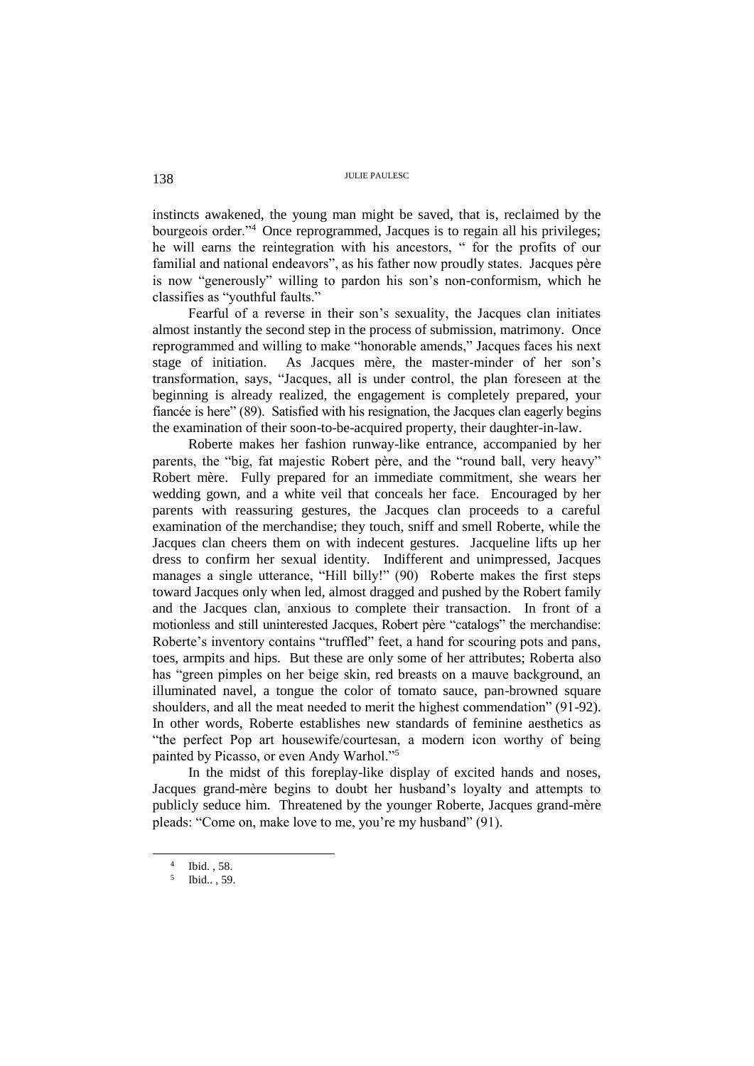instincts awakened, the young man might be saved, that is, reclaimed by the bourgeois order."<sup>4</sup> Once reprogrammed, Jacques is to regain all his privileges; he will earns the reintegration with his ancestors, " for the profits of our familial and national endeavors", as his father now proudly states. Jacques père is now "generously" willing to pardon his son's non-conformism, which he classifies as "youthful faults."

Fearful of a reverse in their son's sexuality, the Jacques clan initiates almost instantly the second step in the process of submission, matrimony. Once reprogrammed and willing to make "honorable amends," Jacques faces his next stage of initiation. As Jacques mère, the master-minder of her son's transformation, says, "Jacques, all is under control, the plan foreseen at the beginning is already realized, the engagement is completely prepared, your fiancée is here" (89). Satisfied with his resignation, the Jacques clan eagerly begins the examination of their soon-to-be-acquired property, their daughter-in-law.

Roberte makes her fashion runway-like entrance, accompanied by her parents, the "big, fat majestic Robert père, and the "round ball, very heavy" Robert mère. Fully prepared for an immediate commitment, she wears her wedding gown, and a white veil that conceals her face. Encouraged by her parents with reassuring gestures, the Jacques clan proceeds to a careful examination of the merchandise; they touch, sniff and smell Roberte, while the Jacques clan cheers them on with indecent gestures. Jacqueline lifts up her dress to confirm her sexual identity. Indifferent and unimpressed, Jacques manages a single utterance, "Hill billy!" (90) Roberte makes the first steps toward Jacques only when led, almost dragged and pushed by the Robert family and the Jacques clan, anxious to complete their transaction. In front of a motionless and still uninterested Jacques, Robert père "catalogs" the merchandise: Roberte's inventory contains "truffled" feet, a hand for scouring pots and pans, toes, armpits and hips. But these are only some of her attributes; Roberta also has "green pimples on her beige skin, red breasts on a mauve background, an illuminated navel, a tongue the color of tomato sauce, pan-browned square shoulders, and all the meat needed to merit the highest commendation" (91-92). In other words, Roberte establishes new standards of feminine aesthetics as "the perfect Pop art housewife/courtesan, a modern icon worthy of being painted by Picasso, or even Andy Warhol."<sup>5</sup>

In the midst of this foreplay-like display of excited hands and noses, Jacques grand-mère begins to doubt her husband's loyalty and attempts to publicly seduce him. Threatened by the younger Roberte, Jacques grand-mère pleads: "Come on, make love to me, you're my husband" (91).

<sup>4</sup> Ibid. , 58.

<sup>5</sup> Ibid.. , 59.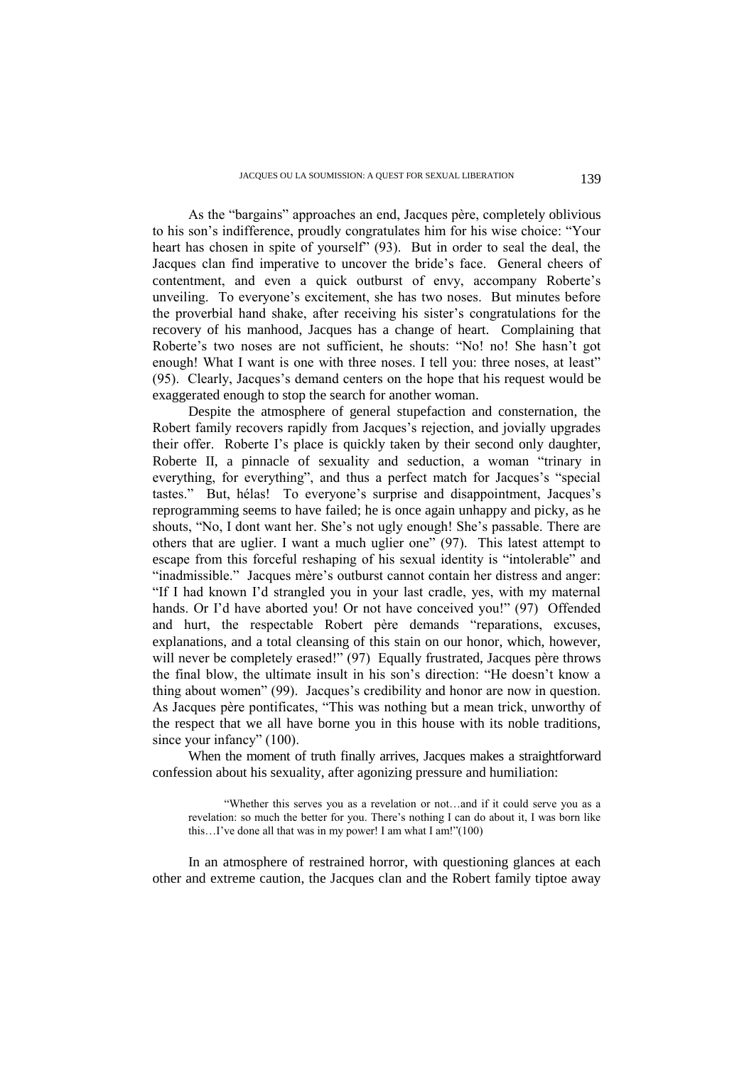As the "bargains" approaches an end, Jacques père, completely oblivious to his son's indifference, proudly congratulates him for his wise choice: "Your heart has chosen in spite of yourself" (93). But in order to seal the deal, the Jacques clan find imperative to uncover the bride's face. General cheers of contentment, and even a quick outburst of envy, accompany Roberte's unveiling. To everyone's excitement, she has two noses. But minutes before the proverbial hand shake, after receiving his sister's congratulations for the recovery of his manhood, Jacques has a change of heart. Complaining that Roberte's two noses are not sufficient, he shouts: "No! no! She hasn't got enough! What I want is one with three noses. I tell you: three noses, at least" (95). Clearly, Jacques's demand centers on the hope that his request would be exaggerated enough to stop the search for another woman.

Despite the atmosphere of general stupefaction and consternation, the Robert family recovers rapidly from Jacques's rejection, and jovially upgrades their offer. Roberte I's place is quickly taken by their second only daughter, Roberte II, a pinnacle of sexuality and seduction, a woman "trinary in everything, for everything", and thus a perfect match for Jacques's "special tastes." But, hélas! To everyone's surprise and disappointment, Jacques's reprogramming seems to have failed; he is once again unhappy and picky, as he shouts, "No, I dont want her. She's not ugly enough! She's passable. There are others that are uglier. I want a much uglier one" (97). This latest attempt to escape from this forceful reshaping of his sexual identity is "intolerable" and "inadmissible." Jacques mère's outburst cannot contain her distress and anger: "If I had known I'd strangled you in your last cradle, yes, with my maternal hands. Or I'd have aborted you! Or not have conceived you!" (97) Offended and hurt, the respectable Robert père demands "reparations, excuses, explanations, and a total cleansing of this stain on our honor, which, however, will never be completely erased!" (97) Equally frustrated, Jacques père throws the final blow, the ultimate insult in his son's direction: "He doesn't know a thing about women" (99). Jacques's credibility and honor are now in question. As Jacques père pontificates, "This was nothing but a mean trick, unworthy of the respect that we all have borne you in this house with its noble traditions, since your infancy" (100).

When the moment of truth finally arrives, Jacques makes a straightforward confession about his sexuality, after agonizing pressure and humiliation:

"Whether this serves you as a revelation or not…and if it could serve you as a revelation: so much the better for you. There's nothing I can do about it, I was born like this…I've done all that was in my power! I am what I am!"(100)

In an atmosphere of restrained horror, with questioning glances at each other and extreme caution, the Jacques clan and the Robert family tiptoe away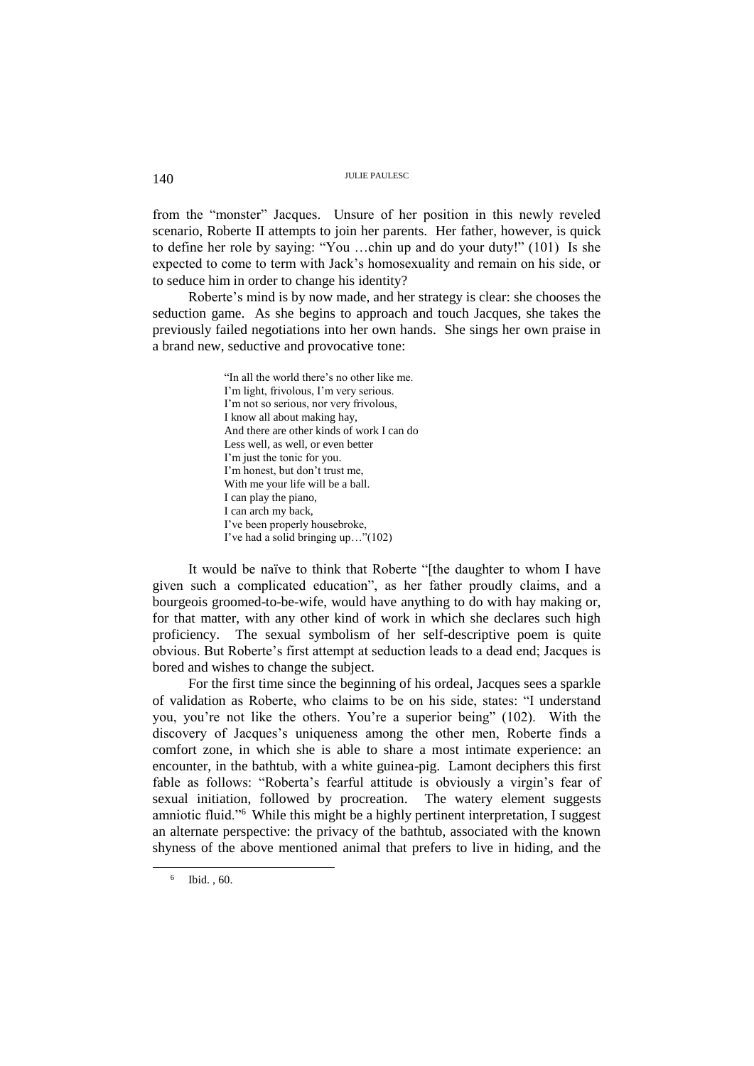# 140 JULIE PAULESC

from the "monster" Jacques. Unsure of her position in this newly reveled scenario, Roberte II attempts to join her parents. Her father, however, is quick to define her role by saying: "You …chin up and do your duty!" (101) Is she expected to come to term with Jack's homosexuality and remain on his side, or to seduce him in order to change his identity?

Roberte's mind is by now made, and her strategy is clear: she chooses the seduction game. As she begins to approach and touch Jacques, she takes the previously failed negotiations into her own hands. She sings her own praise in a brand new, seductive and provocative tone:

> "In all the world there's no other like me. I'm light, frivolous, I'm very serious. I'm not so serious, nor very frivolous, I know all about making hay, And there are other kinds of work I can do Less well, as well, or even better I'm just the tonic for you. I'm honest, but don't trust me, With me your life will be a ball. I can play the piano, I can arch my back, I've been properly housebroke, I've had a solid bringing up…"(102)

It would be naïve to think that Roberte "[the daughter to whom I have given such a complicated education", as her father proudly claims, and a bourgeois groomed-to-be-wife, would have anything to do with hay making or, for that matter, with any other kind of work in which she declares such high proficiency. The sexual symbolism of her self-descriptive poem is quite obvious. But Roberte's first attempt at seduction leads to a dead end; Jacques is bored and wishes to change the subject.

For the first time since the beginning of his ordeal, Jacques sees a sparkle of validation as Roberte, who claims to be on his side, states: "I understand you, you're not like the others. You're a superior being" (102). With the discovery of Jacques's uniqueness among the other men, Roberte finds a comfort zone, in which she is able to share a most intimate experience: an encounter, in the bathtub, with a white guinea-pig. Lamont deciphers this first fable as follows: "Roberta's fearful attitude is obviously a virgin's fear of sexual initiation, followed by procreation. The watery element suggests amniotic fluid."<sup>6</sup> While this might be a highly pertinent interpretation, I suggest an alternate perspective: the privacy of the bathtub, associated with the known shyness of the above mentioned animal that prefers to live in hiding, and the

<sup>6</sup> Ibid. , 60.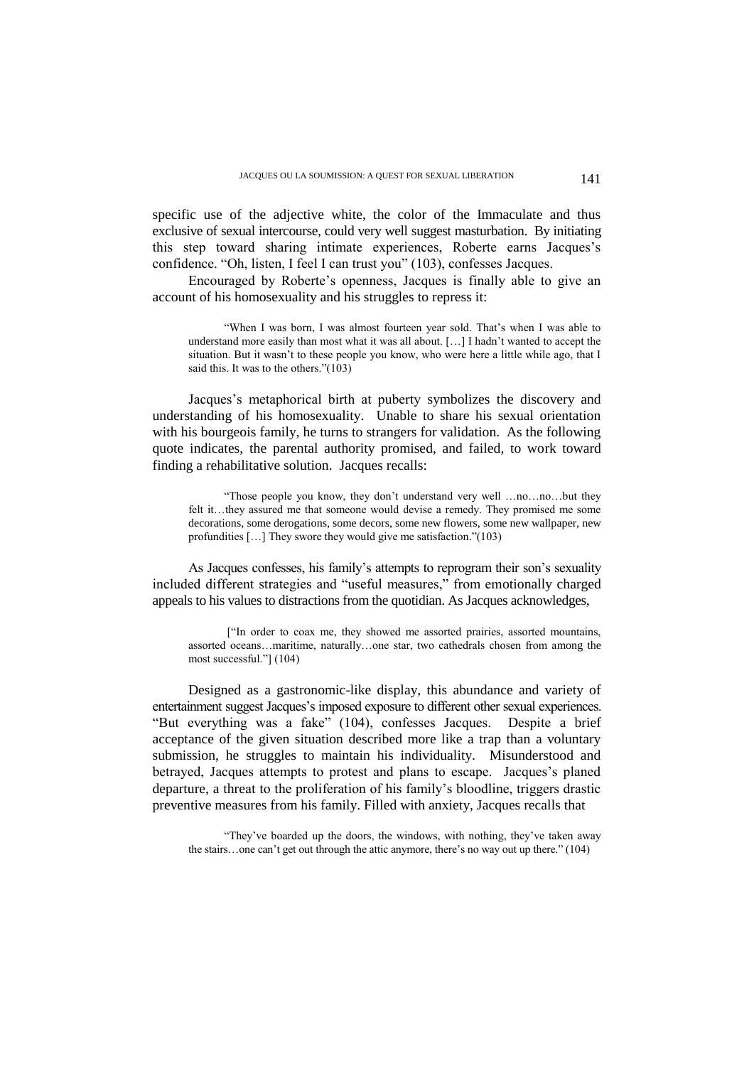specific use of the adjective white, the color of the Immaculate and thus exclusive of sexual intercourse, could very well suggest masturbation. By initiating this step toward sharing intimate experiences, Roberte earns Jacques's confidence. "Oh, listen, I feel I can trust you" (103), confesses Jacques.

Encouraged by Roberte's openness, Jacques is finally able to give an account of his homosexuality and his struggles to repress it:

"When I was born, I was almost fourteen year sold. That's when I was able to understand more easily than most what it was all about. […] I hadn't wanted to accept the situation. But it wasn't to these people you know, who were here a little while ago, that I said this. It was to the others." $(103)$ 

Jacques's metaphorical birth at puberty symbolizes the discovery and understanding of his homosexuality. Unable to share his sexual orientation with his bourgeois family, he turns to strangers for validation. As the following quote indicates, the parental authority promised, and failed, to work toward finding a rehabilitative solution. Jacques recalls:

"Those people you know, they don't understand very well …no…no…but they felt it…they assured me that someone would devise a remedy. They promised me some decorations, some derogations, some decors, some new flowers, some new wallpaper, new profundities […] They swore they would give me satisfaction."(103)

As Jacques confesses, his family's attempts to reprogram their son's sexuality included different strategies and "useful measures," from emotionally charged appeals to his values to distractions from the quotidian. As Jacques acknowledges,

["In order to coax me, they showed me assorted prairies, assorted mountains, assorted oceans…maritime, naturally…one star, two cathedrals chosen from among the most successful."] (104)

Designed as a gastronomic-like display, this abundance and variety of entertainment suggest Jacques's imposed exposure to different other sexual experiences. "But everything was a fake" (104), confesses Jacques. Despite a brief acceptance of the given situation described more like a trap than a voluntary submission, he struggles to maintain his individuality. Misunderstood and betrayed, Jacques attempts to protest and plans to escape. Jacques's planed departure, a threat to the proliferation of his family's bloodline, triggers drastic preventive measures from his family. Filled with anxiety, Jacques recalls that

"They've boarded up the doors, the windows, with nothing, they've taken away the stairs…one can't get out through the attic anymore, there's no way out up there." (104)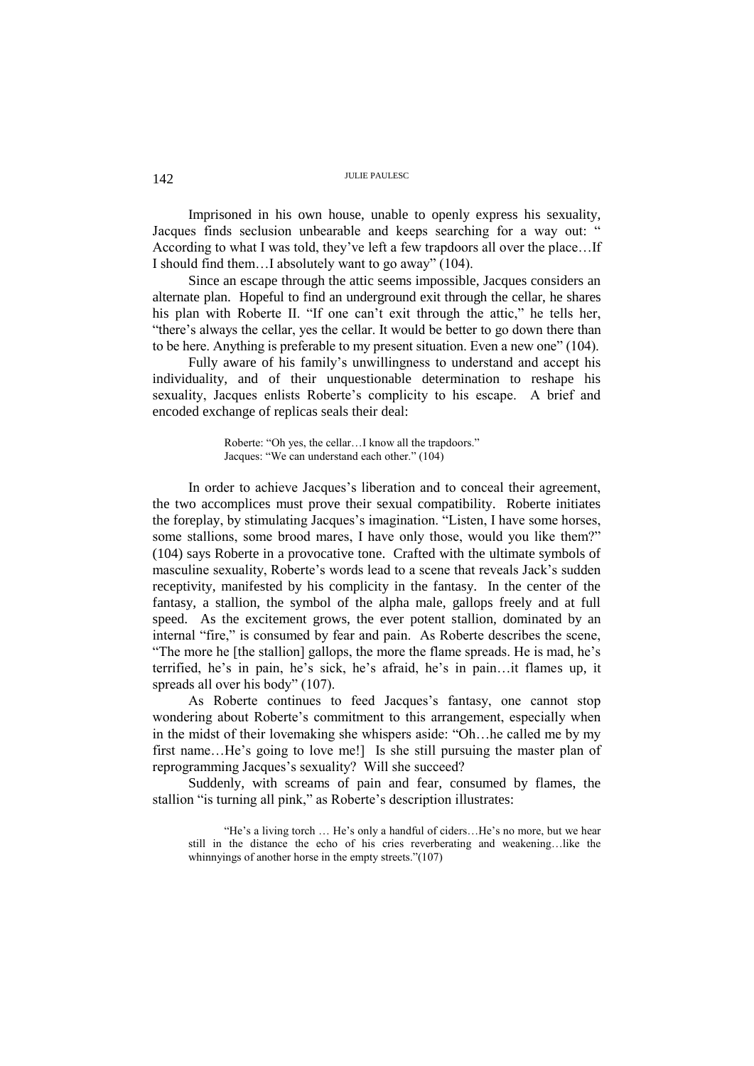# 142 JULIE PAULESC

Imprisoned in his own house, unable to openly express his sexuality, Jacques finds seclusion unbearable and keeps searching for a way out: " According to what I was told, they've left a few trapdoors all over the place…If I should find them…I absolutely want to go away" (104).

Since an escape through the attic seems impossible, Jacques considers an alternate plan. Hopeful to find an underground exit through the cellar, he shares his plan with Roberte II. "If one can't exit through the attic," he tells her, "there's always the cellar, yes the cellar. It would be better to go down there than to be here. Anything is preferable to my present situation. Even a new one" (104).

Fully aware of his family's unwillingness to understand and accept his individuality, and of their unquestionable determination to reshape his sexuality, Jacques enlists Roberte's complicity to his escape. A brief and encoded exchange of replicas seals their deal:

> Roberte: "Oh yes, the cellar…I know all the trapdoors." Jacques: "We can understand each other." (104)

In order to achieve Jacques's liberation and to conceal their agreement, the two accomplices must prove their sexual compatibility. Roberte initiates the foreplay, by stimulating Jacques's imagination. "Listen, I have some horses, some stallions, some brood mares, I have only those, would you like them?" (104) says Roberte in a provocative tone. Crafted with the ultimate symbols of masculine sexuality, Roberte's words lead to a scene that reveals Jack's sudden receptivity, manifested by his complicity in the fantasy. In the center of the fantasy, a stallion, the symbol of the alpha male, gallops freely and at full speed. As the excitement grows, the ever potent stallion, dominated by an internal "fire," is consumed by fear and pain. As Roberte describes the scene, "The more he [the stallion] gallops, the more the flame spreads. He is mad, he's terrified, he's in pain, he's sick, he's afraid, he's in pain…it flames up, it spreads all over his body" (107).

As Roberte continues to feed Jacques's fantasy, one cannot stop wondering about Roberte's commitment to this arrangement, especially when in the midst of their lovemaking she whispers aside: "Oh…he called me by my first name…He's going to love me!] Is she still pursuing the master plan of reprogramming Jacques's sexuality? Will she succeed?

Suddenly, with screams of pain and fear, consumed by flames, the stallion "is turning all pink," as Roberte's description illustrates:

"He's a living torch … He's only a handful of ciders…He's no more, but we hear still in the distance the echo of his cries reverberating and weakening…like the whinnyings of another horse in the empty streets."(107)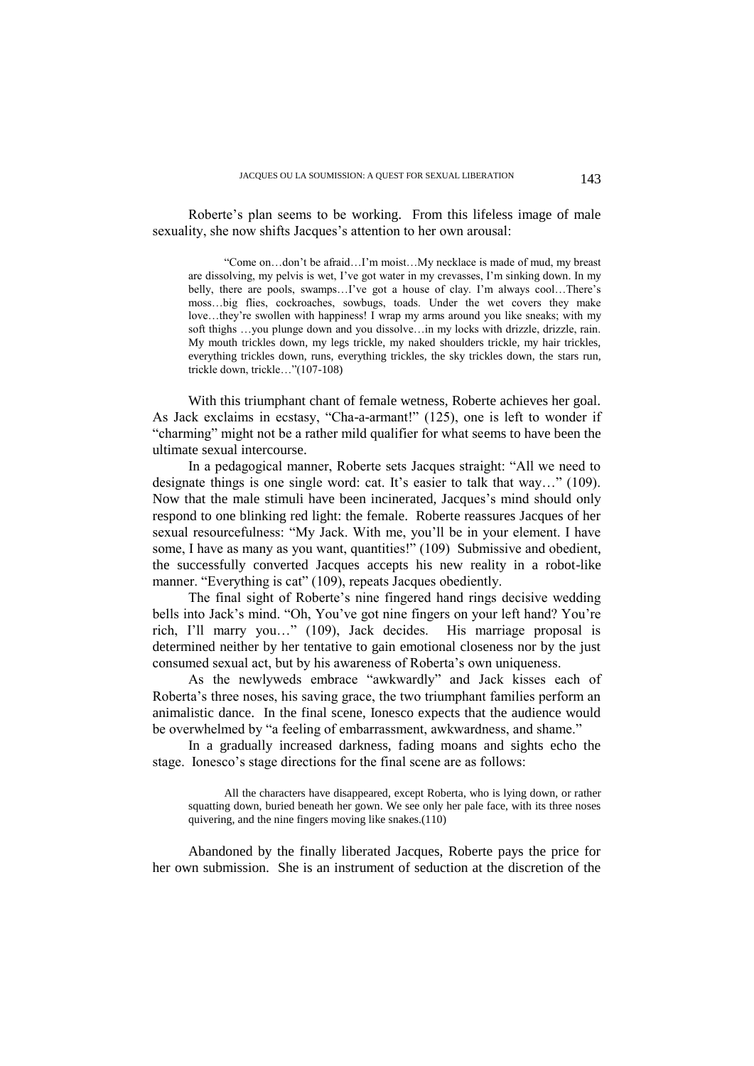Roberte's plan seems to be working. From this lifeless image of male sexuality, she now shifts Jacques's attention to her own arousal:

"Come on…don't be afraid…I'm moist…My necklace is made of mud, my breast are dissolving, my pelvis is wet, I've got water in my crevasses, I'm sinking down. In my belly, there are pools, swamps…I've got a house of clay. I'm always cool…There's moss…big flies, cockroaches, sowbugs, toads. Under the wet covers they make love…they're swollen with happiness! I wrap my arms around you like sneaks; with my soft thighs ...you plunge down and you dissolve...in my locks with drizzle, drizzle, rain. My mouth trickles down, my legs trickle, my naked shoulders trickle, my hair trickles, everything trickles down, runs, everything trickles, the sky trickles down, the stars run, trickle down, trickle…"(107-108)

With this triumphant chant of female wetness, Roberte achieves her goal. As Jack exclaims in ecstasy, "Cha-a-armant!" (125), one is left to wonder if "charming" might not be a rather mild qualifier for what seems to have been the ultimate sexual intercourse.

In a pedagogical manner, Roberte sets Jacques straight: "All we need to designate things is one single word: cat. It's easier to talk that way…" (109). Now that the male stimuli have been incinerated, Jacques's mind should only respond to one blinking red light: the female. Roberte reassures Jacques of her sexual resourcefulness: "My Jack. With me, you'll be in your element. I have some, I have as many as you want, quantities!" (109) Submissive and obedient, the successfully converted Jacques accepts his new reality in a robot-like manner. "Everything is cat" (109), repeats Jacques obediently.

The final sight of Roberte's nine fingered hand rings decisive wedding bells into Jack's mind. "Oh, You've got nine fingers on your left hand? You're rich, I'll marry you…" (109), Jack decides. His marriage proposal is determined neither by her tentative to gain emotional closeness nor by the just consumed sexual act, but by his awareness of Roberta's own uniqueness.

As the newlyweds embrace "awkwardly" and Jack kisses each of Roberta's three noses, his saving grace, the two triumphant families perform an animalistic dance. In the final scene, Ionesco expects that the audience would be overwhelmed by "a feeling of embarrassment, awkwardness, and shame."

In a gradually increased darkness, fading moans and sights echo the stage. Ionesco's stage directions for the final scene are as follows:

All the characters have disappeared, except Roberta, who is lying down, or rather squatting down, buried beneath her gown. We see only her pale face, with its three noses quivering, and the nine fingers moving like snakes.(110)

Abandoned by the finally liberated Jacques, Roberte pays the price for her own submission. She is an instrument of seduction at the discretion of the